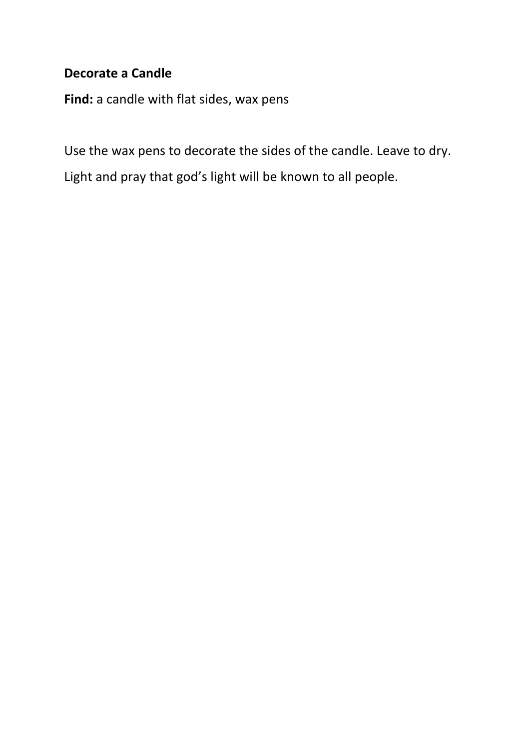## **Decorate a Candle**

**Find:** a candle with flat sides, wax pens

Use the wax pens to decorate the sides of the candle. Leave to dry. Light and pray that god's light will be known to all people.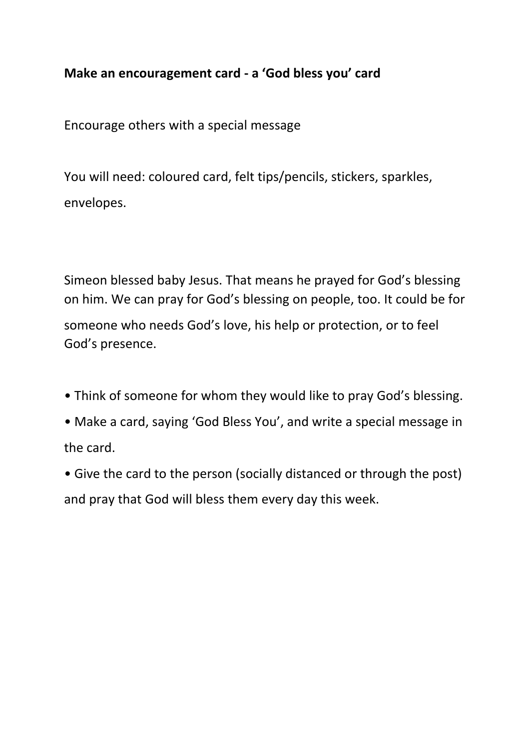# **Make an encouragement card - a 'God bless you' card**

Encourage others with a special message

You will need: coloured card, felt tips/pencils, stickers, sparkles, envelopes.

Simeon blessed baby Jesus. That means he prayed for God's blessing on him. We can pray for God's blessing on people, too. It could be for someone who needs God's love, his help or protection, or to feel God's presence.

- Think of someone for whom they would like to pray God's blessing.
- Make a card, saying 'God Bless You', and write a special message in the card.
- Give the card to the person (socially distanced or through the post) and pray that God will bless them every day this week.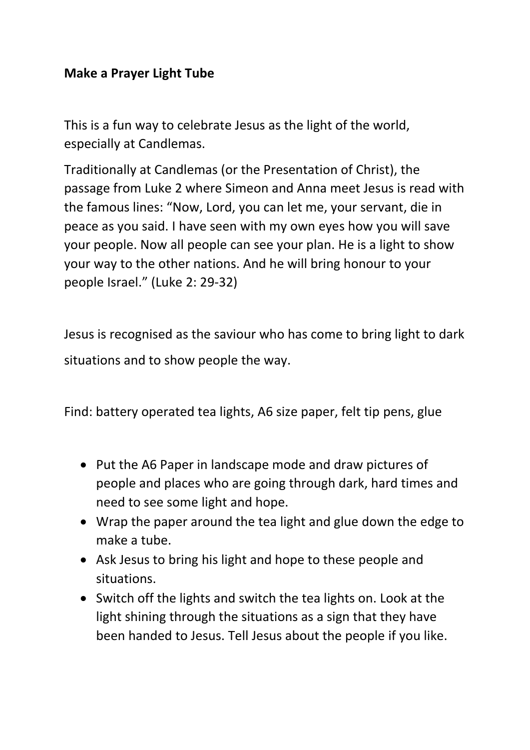## **Make a Prayer Light Tube**

This is a fun way to celebrate Jesus as the light of the world, especially at Candlemas.

Traditionally at Candlemas (or the Presentation of Christ), the passage from Luke 2 where Simeon and Anna meet Jesus is read with the famous lines: "Now, Lord, you can let me, your servant, die in peace as you said. I have seen with my own eyes how you will save your people. Now all people can see your plan. He is a light to show your way to the other nations. And he will bring honour to your people Israel." (Luke 2: 29-32)

Jesus is recognised as the saviour who has come to bring light to dark situations and to show people the way.

Find: battery operated tea lights, A6 size paper, felt tip pens, glue

- Put the A6 Paper in landscape mode and draw pictures of people and places who are going through dark, hard times and need to see some light and hope.
- Wrap the paper around the tea light and glue down the edge to make a tube.
- Ask Jesus to bring his light and hope to these people and situations.
- Switch off the lights and switch the tea lights on. Look at the light shining through the situations as a sign that they have been handed to Jesus. Tell Jesus about the people if you like.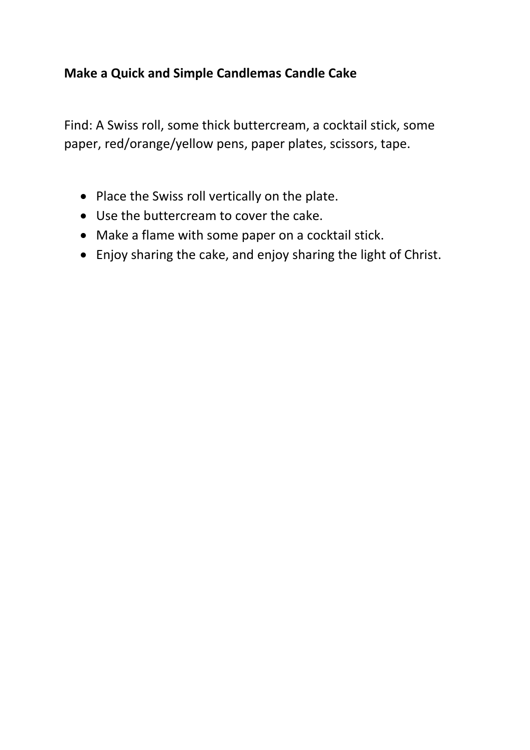# **Make a Quick and Simple Candlemas Candle Cake**

Find: A Swiss roll, some thick buttercream, a cocktail stick, some paper, red/orange/yellow pens, paper plates, scissors, tape.

- Place the Swiss roll vertically on the plate.
- Use the buttercream to cover the cake.
- Make a flame with some paper on a cocktail stick.
- Enjoy sharing the cake, and enjoy sharing the light of Christ.